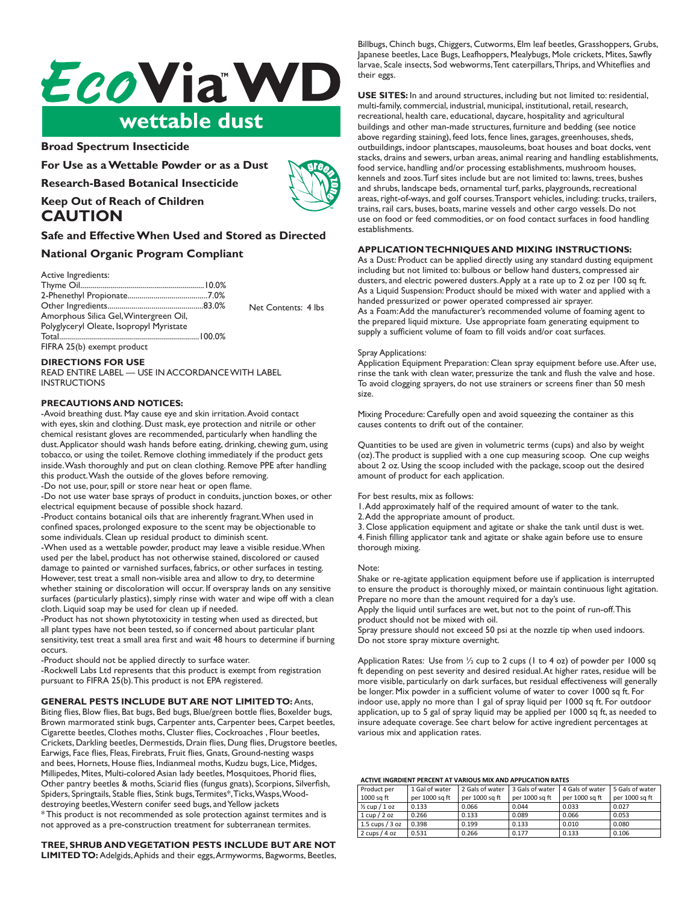# *EcoViaWD* wettable dust

## **Broad Spectrum Insecticide**

**For Use as a Wettable Powder or as a Dust**

**Research-Based Botanical Insecticide**



**Keep Out of Reach of Children CAUTION**

## **Safe and Effective When Used and Stored as Directed**

## **National Organic Program Compliant**

Active Ingredients:

|                                          | Net Contents: 4 lbs |
|------------------------------------------|---------------------|
| Amorphous Silica Gel, Wintergreen Oil,   |                     |
| Polyglyceryl Oleate, Isopropyl Myristate |                     |
|                                          |                     |
| FIFRA 25(b) exempt product               |                     |

## **DIRECTIONS FOR USE**

READ ENTIRE LABEL — USE IN ACCORDANCE WITH LABEL INSTRUCTIONS

## **PRECAUTIONS AND NOTICES:**

-Avoid breathing dust. May cause eye and skin irritation. Avoid contact with eyes, skin and clothing. Dust mask, eye protection and nitrile or other chemical resistant gloves are recommended, particularly when handling the dust. Applicator should wash hands before eating, drinking, chewing gum, using tobacco, or using the toilet. Remove clothing immediately if the product gets inside. Wash thoroughly and put on clean clothing. Remove PPE after handling this product. Wash the outside of the gloves before removing. -Do not use, pour, spill or store near heat or open flame.

-Do not use water base sprays of product in conduits, junction boxes, or other electrical equipment because of possible shock hazard.

-Product contains botanical oils that are inherently fragrant. When used in confined spaces, prolonged exposure to the scent may be objectionable to some individuals. Clean up residual product to diminish scent.

-When used as a wettable powder, product may leave a visible residue. When used per the label, product has not otherwise stained, discolored or caused damage to painted or varnished surfaces, fabrics, or other surfaces in testing. However, test treat a small non-visible area and allow to dry, to determine whether staining or discoloration will occur. If overspray lands on any sensitive surfaces (particularly plastics), simply rinse with water and wipe off with a clean cloth. Liquid soap may be used for clean up if needed.

-Product has not shown phytotoxicity in testing when used as directed, but all plant types have not been tested, so if concerned about particular plant sensitivity, test treat a small area first and wait 48 hours to determine if burning occurs.

-Product should not be applied directly to surface water.

-Rockwell Labs Ltd represents that this product is exempt from registration pursuant to FIFRA 25(b). This product is not EPA registered.

## **GENERAL PESTS INCLUDE BUT ARE NOT LIMITED TO:** Ants,

Biting flies, Blow flies, Bat bugs, Bed bugs, Blue/green bottle flies, Boxelder bugs, Brown marmorated stink bugs, Carpenter ants, Carpenter bees, Carpet beetles, Cigarette beetles, Clothes moths, Cluster flies, Cockroaches , Flour beetles, Crickets, Darkling beetles, Dermestids, Drain flies, Dung flies, Drugstore beetles, Earwigs, Face flies, Fleas, Firebrats, Fruit flies, Gnats, Ground-nesting wasps and bees, Hornets, House flies, Indianmeal moths, Kudzu bugs, Lice, Midges, Millipedes, Mites, Multi-colored Asian lady beetles, Mosquitoes, Phorid flies, Other pantry beetles & moths, Sciarid flies (fungus gnats), Scorpions, Silverfish, Spiders, Springtails, Stable flies, Stink bugs, Termites\*, Ticks, Wasps, Wooddestroying beetles, Western conifer seed bugs, and Yellow jackets \* This product is not recommended as sole protection against termites and is not approved as a pre-construction treatment for subterranean termites.

## **TREE, SHRUB AND VEGETATION PESTS INCLUDE BUT ARE NOT**

**LIMITED TO:** Adelgids, Aphids and their eggs, Armyworms, Bagworms, Beetles,

Billbugs, Chinch bugs, Chiggers, Cutworms, Elm leaf beetles, Grasshoppers, Grubs, Japanese beetles, Lace Bugs, Leafhoppers, Mealybugs, Mole crickets, Mites, Sawfly larvae, Scale insects, Sod webworms, Tent caterpillars, Thrips, and Whiteflies and their eggs.

**USE SITES:** In and around structures, including but not limited to: residential, multi-family, commercial, industrial, municipal, institutional, retail, research, recreational, health care, educational, daycare, hospitality and agricultural buildings and other man-made structures, furniture and bedding (see notice above regarding staining), feed lots, fence lines, garages, greenhouses, sheds, outbuildings, indoor plantscapes, mausoleums, boat houses and boat docks, vent stacks, drains and sewers, urban areas, animal rearing and handling establishments, food service, handling and/or processing establishments, mushroom houses, kennels and zoos. Turf sites include but are not limited to: lawns, trees, bushes and shrubs, landscape beds, ornamental turf, parks, playgrounds, recreational areas, right-of-ways, and golf courses. Transport vehicles, including: trucks, trailers, trains, rail cars, buses, boats, marine vessels and other cargo vessels. Do not use on food or feed commodities, or on food contact surfaces in food handling establishments.

#### **APPLICATION TECHNIQUES AND MIXING INSTRUCTIONS:**

As a Dust: Product can be applied directly using any standard dusting equipment including but not limited to: bulbous or bellow hand dusters, compressed air dusters, and electric powered dusters. Apply at a rate up to 2 oz per 100 sq ft. As a Liquid Suspension: Product should be mixed with water and applied with a handed pressurized or power operated compressed air sprayer. As a Foam: Add the manufacturer's recommended volume of foaming agent to the prepared liquid mixture. Use appropriate foam generating equipment to supply a sufficient volume of foam to fill voids and/or coat surfaces.

#### Spray Applications:

Application Equipment Preparation: Clean spray equipment before use. After use, rinse the tank with clean water, pressurize the tank and flush the valve and hose. To avoid clogging sprayers, do not use strainers or screens finer than 50 mesh size.

Mixing Procedure: Carefully open and avoid squeezing the container as this causes contents to drift out of the container.

Quantities to be used are given in volumetric terms (cups) and also by weight (oz). The product is supplied with a one cup measuring scoop. One cup weighs about 2 oz. Using the scoop included with the package, scoop out the desired **Spray Applications:** amount of product for each application.

## For best results, mix as follows:

1. Add approximately half of the required amount of water to the tank.

2. Add the appropriate amount of product.

**Mixing Procedure:** Carefully open and avoid squeezing the container as this causes contents to drift out of the container. 4. Finish filling applicator tank and agitate or shake again before use to ensure 3. Close application equipment and agitate or shake the tank until dust is wet. thorough mixing.

#### $S$ supplied with a one cup weighs about 2 oz. Using the scoop. One cup weighs about 2 oz. Using the scoop included with  $S$ Note:

Shake or re-agitate application equipment before use if application is interrupted to ensure the product is thoroughly mixed, or maintain continuous light agitation.<br>-Prepare no more than the amount required for a day's use.

Apply the liquid until surfaces are wet, but not to the point of run-off. This product should not be mixed with oil.

.<br>Spray pressure should not exceed 50 psi at the nozzle tip when used indoors. Do not store spray mixture overnight.

Application Rates: Use from ½ cup to 2 cups (1 to 4 oz) of powder per 1000 sq ft depending on pest severity and desired residual. At higher rates, residue will be more visible, particularly on dark surfaces, but residual effectiveness will generally more visible, particularly on dark surfaces, but residual enceaveriess will general find the nonindoor use, apply no more than 1 gal of spray liquid per 1000 sq ft. For outdoor insure adequate coverage. See chart below for active ingredient percentages at various mix and application rates. but residual effectiveness will generally be longer. Mix powder in a sufficient volume of water to cover application, up to 5 gal of spray liquid may be applied per 1000 sq ft, as needed to

#### **ACTIVE INGRDIENT PERCENT AT VARIOUS MIX AND APPLICATION RATES**

| Product per<br>1000 sa ft | 1 Gal of water<br>per 1000 sq ft | 2 Gals of water<br>per 1000 sq ft | 3 Gals of water<br>per 1000 sq ft | 4 Gals of water<br>per 1000 sq ft | 5 Gals of water<br>per 1000 sq ft |
|---------------------------|----------------------------------|-----------------------------------|-----------------------------------|-----------------------------------|-----------------------------------|
|                           |                                  |                                   |                                   |                                   |                                   |
| $\frac{1}{2}$ cup / 1 oz  | 0.133                            | 0.066                             | 0.044                             | 0.033                             | 0.027                             |
| $1$ Cup $/$ 2 oz          | 0.266                            | 0.133                             | 0.089                             | 0.066                             | 0.053                             |
| $1.5$ cups $/$ 3 oz       | 0.398                            | 0.199                             | 0.133                             | 0.010                             | 0.080                             |
| 2 cups $/4$ oz            | 0.531                            | 0.266                             | 0.177                             | 0.133                             | 0.106                             |